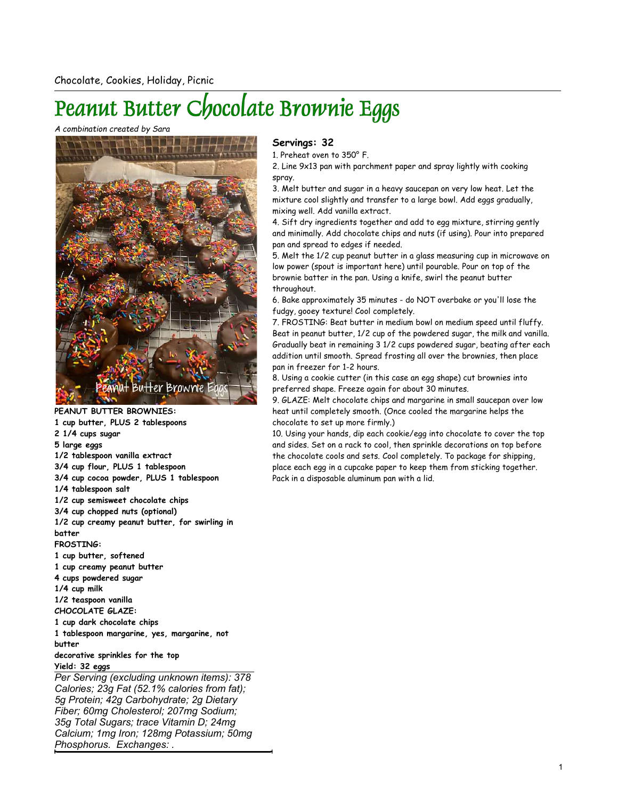## Peanut Butter Chocolate Brownie Eggs

## A combination created by Sara



PEANUT BUTTER BROWNIES: 1 cup butter, PLUS 2 tablespoons 2 1/4 cups sugar

5 large eggs

1/2 tablespoon vanilla extract

3/4 cup flour, PLUS 1 tablespoon

3/4 cup cocoa powder, PLUS 1 tablespoon

1/4 tablespoon salt

1/2 cup semisweet chocolate chips

3/4 cup chopped nuts (optional)

1/2 cup creamy peanut butter, for swirling in batter

## FROSTING:

1 cup butter, softened

1 cup creamy peanut butter

4 cups powdered sugar

1/4 cup milk

1/2 teaspoon vanilla

CHOCOLATE GLAZE: 1 cup dark chocolate chips

1 tablespoon margarine, yes, margarine, not

butter

decorative sprinkles for the top Yield: 32 eggs

Per Serving (excluding unknown items): 378 Calories; 23g Fat (52.1% calories from fat); 5g Protein; 42g Carbohydrate; 2g Dietary Fiber; 60mg Cholesterol; 207mg Sodium; 35g Total Sugars; trace Vitamin D; 24mg Calcium; 1mg Iron; 128mg Potassium; 50mg Phosphorus. Exchanges: .

## Servings: 32

1. Preheat oven to 350° F.

2. Line 9x13 pan with parchment paper and spray lightly with cooking spray.

3. Melt butter and sugar in a heavy saucepan on very low heat. Let the mixture cool slightly and transfer to a large bowl. Add eggs gradually, mixing well. Add vanilla extract.

4. Sift dry ingredients together and add to egg mixture, stirring gently and minimally. Add chocolate chips and nuts (if using). Pour into prepared pan and spread to edges if needed.

5. Melt the 1/2 cup peanut butter in a glass measuring cup in microwave on low power (spout is important here) until pourable. Pour on top of the brownie batter in the pan. Using a knife, swirl the peanut butter throughout.

6. Bake approximately 35 minutes - do NOT overbake or you'll lose the fudgy, gooey texture! Cool completely.

7. FROSTING: Beat butter in medium bowl on medium speed until fluffy. Beat in peanut butter, 1/2 cup of the powdered sugar, the milk and vanilla. Gradually beat in remaining 3 1/2 cups powdered sugar, beating after each addition until smooth. Spread frosting all over the brownies, then place pan in freezer for 1-2 hours.

8. Using a cookie cutter (in this case an egg shape) cut brownies into preferred shape. Freeze again for about 30 minutes.

9. GLAZE: Melt chocolate chips and margarine in small saucepan over low heat until completely smooth. (Once cooled the margarine helps the chocolate to set up more firmly.)

10. Using your hands, dip each cookie/egg into chocolate to cover the top and sides. Set on a rack to cool, then sprinkle decorations on top before the chocolate cools and sets. Cool completely. To package for shipping, place each egg in a cupcake paper to keep them from sticking together. Pack in a disposable aluminum pan with a lid.